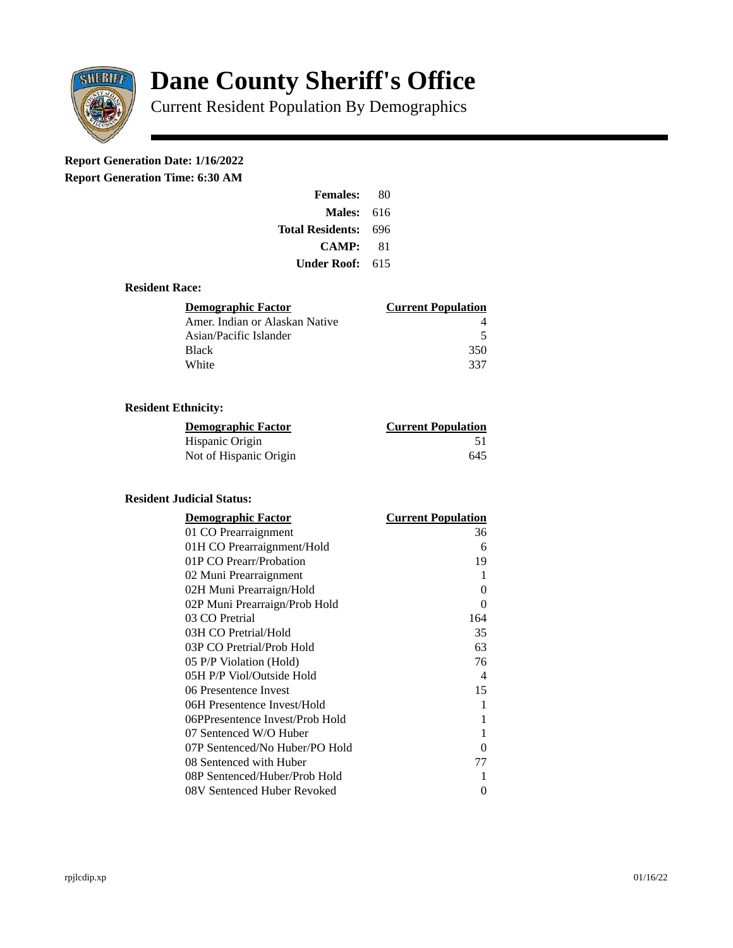

# **Dane County Sheriff's Office**

Current Resident Population By Demographics

# **Report Generation Date: 1/16/2022**

**Report Generation Time: 6:30 AM** 

| <b>Females:</b>         | 80  |
|-------------------------|-----|
| Males:                  | 616 |
| <b>Total Residents:</b> | 696 |
| CAMP:                   | 81  |
| Under Roof:             | 615 |

#### **Resident Race:**

| <b>Demographic Factor</b>      | <b>Current Population</b> |
|--------------------------------|---------------------------|
| Amer. Indian or Alaskan Native |                           |
| Asian/Pacific Islander         | .5                        |
| Black                          | 350                       |
| White                          | 337                       |

## **Resident Ethnicity:**

| <u> Demographic Factor</u> | <b>Current Population</b> |
|----------------------------|---------------------------|
| Hispanic Origin            | 51                        |
| Not of Hispanic Origin     | 645                       |

### **Resident Judicial Status:**

| <b>Demographic Factor</b>       | <b>Current Population</b>  |
|---------------------------------|----------------------------|
| 01 CO Prearraignment            | 36                         |
| 01H CO Prearraignment/Hold      | 6                          |
| 01P CO Prearr/Probation         | 19                         |
| 02 Muni Prearraignment          | 1                          |
| 02H Muni Prearraign/Hold        | 0                          |
| 02P Muni Prearraign/Prob Hold   | 0                          |
| 03 CO Pretrial                  | 164                        |
| 03H CO Pretrial/Hold            | 35                         |
| 03P CO Pretrial/Prob Hold       | 63                         |
| 05 P/P Violation (Hold)         | 76                         |
| 05H P/P Viol/Outside Hold       | $\boldsymbol{\mathcal{A}}$ |
| 06 Presentence Invest           | 15                         |
| 06H Presentence Invest/Hold     | 1                          |
| 06PPresentence Invest/Prob Hold | 1                          |
| 07 Sentenced W/O Huber          | 1                          |
| 07P Sentenced/No Huber/PO Hold  | 0                          |
| 08 Sentenced with Huber         | 77                         |
| 08P Sentenced/Huber/Prob Hold   | 1                          |
| 08V Sentenced Huber Revoked     | 0                          |